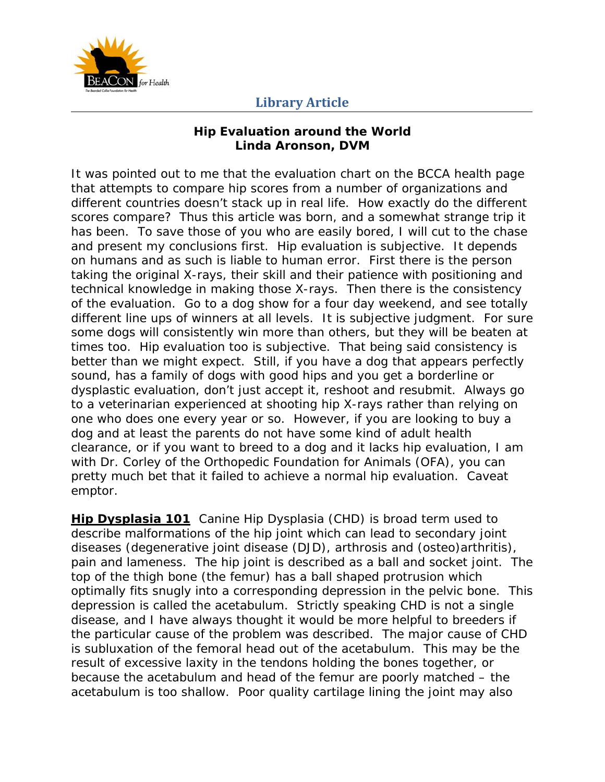

#### **Hip Evaluation around the World Linda Aronson, DVM**

It was pointed out to me that the evaluation chart on the BCCA health page that attempts to compare hip scores from a number of organizations and different countries doesn't stack up in real life. How exactly do the different scores compare? Thus this article was born, and a somewhat strange trip it has been. To save those of you who are easily bored, I will cut to the chase and present my conclusions first. Hip evaluation is subjective. It depends on humans and as such is liable to human error. First there is the person taking the original X-rays, their skill and their patience with positioning and technical knowledge in making those X-rays. Then there is the consistency of the evaluation. Go to a dog show for a four day weekend, and see totally different line ups of winners at all levels. It is subjective judgment. For sure some dogs will consistently win more than others, but they will be beaten at times too. Hip evaluation too is subjective. That being said consistency is better than we might expect. Still, if you have a dog that appears perfectly sound, has a family of dogs with good hips and you get a borderline or dysplastic evaluation, don't just accept it, reshoot and resubmit. Always go to a veterinarian experienced at shooting hip X-rays rather than relying on one who does one every year or so. However, if you are looking to buy a dog and at least the parents do not have some kind of adult health clearance, or if you want to breed to a dog and it lacks hip evaluation, I am with Dr. Corley of the Orthopedic Foundation for Animals (OFA), you can pretty much bet that it failed to achieve a normal hip evaluation. Caveat emptor.

**Hip Dysplasia 101** Canine Hip Dysplasia (CHD) is broad term used to describe malformations of the hip joint which can lead to secondary joint diseases (degenerative joint disease (DJD), arthrosis and (osteo)arthritis), pain and lameness. The hip joint is described as a ball and socket joint. The top of the thigh bone (the femur) has a ball shaped protrusion which optimally fits snugly into a corresponding depression in the pelvic bone. This depression is called the *acetabulum*. Strictly speaking CHD is not a single disease, and I have always thought it would be more helpful to breeders if the particular cause of the problem was described. The major cause of CHD is *subluxation* of the femoral head out of the acetabulum. This may be the result of excessive laxity in the tendons holding the bones together, or because the acetabulum and head of the femur are poorly matched – the acetabulum is too shallow. Poor quality cartilage lining the joint may also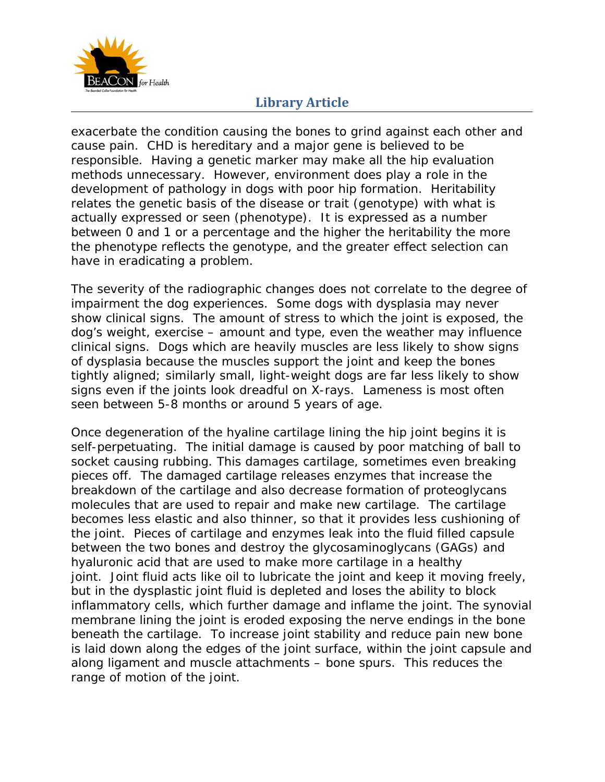

exacerbate the condition causing the bones to grind against each other and cause pain. CHD is hereditary and a major gene is believed to be responsible. Having a genetic marker may make all the hip evaluation methods unnecessary. However, environment does play a role in the development of pathology in dogs with poor hip formation. Heritability relates the genetic basis of the disease or trait (genotype) with what is actually expressed or seen (phenotype). It is expressed as a number between 0 and 1 or a percentage and the higher the heritability the more the phenotype reflects the genotype, and the greater effect selection can have in eradicating a problem.

The severity of the radiographic changes does not correlate to the degree of impairment the dog experiences. Some dogs with dysplasia may never show clinical signs. The amount of stress to which the joint is exposed, the dog's weight, exercise – amount and type, even the weather may influence clinical signs. Dogs which are heavily muscles are less likely to show signs of dysplasia because the muscles support the joint and keep the bones tightly aligned; similarly small, light-weight dogs are far less likely to show signs even if the joints look dreadful on X-rays. Lameness is most often seen between 5-8 months or around 5 years of age.

Once degeneration of the hyaline cartilage lining the hip joint begins it is self-perpetuating. The initial damage is caused by poor matching of ball to socket causing rubbing. This damages cartilage, sometimes even breaking pieces off. The damaged cartilage releases enzymes that increase the breakdown of the cartilage and also decrease formation of proteoglycans molecules that are used to repair and make new cartilage. The cartilage becomes less elastic and also thinner, so that it provides less cushioning of the joint. Pieces of cartilage and enzymes leak into the fluid filled capsule between the two bones and destroy the glycosaminoglycans (GAGs) and hyaluronic acid that are used to make more cartilage in a healthy joint. Joint fluid acts like oil to lubricate the joint and keep it moving freely, but in the dysplastic joint fluid is depleted and loses the ability to block inflammatory cells, which further damage and inflame the joint. The synovial membrane lining the joint is eroded exposing the nerve endings in the bone beneath the cartilage. To increase joint stability and reduce pain new bone is laid down along the edges of the joint surface, within the joint capsule and along ligament and muscle attachments – bone spurs. This reduces the range of motion of the joint.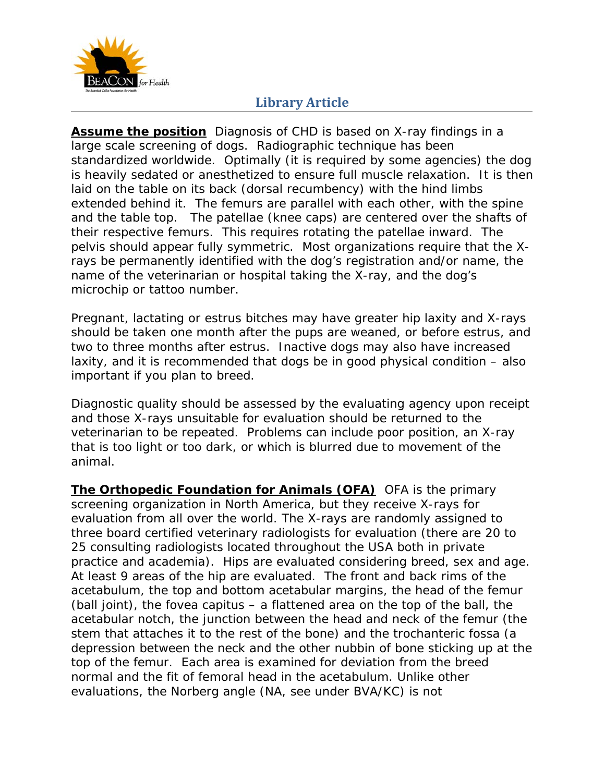

**Assume the position** Diagnosis of CHD is based on X-ray findings in a large scale screening of dogs. Radiographic technique has been standardized worldwide. Optimally (it is required by some agencies) the dog is heavily sedated or anesthetized to ensure full muscle relaxation. It is then laid on the table on its back (dorsal recumbency) with the hind limbs extended behind it. The femurs are parallel with each other, with the spine and the table top. The patellae (knee caps) are centered over the shafts of their respective femurs. This requires rotating the patellae inward. The pelvis should appear fully symmetric. Most organizations require that the Xrays be permanently identified with the dog's registration and/or name, the name of the veterinarian or hospital taking the X-ray, and the dog's microchip or tattoo number.

Pregnant, lactating or estrus bitches may have greater hip laxity and X-rays should be taken one month after the pups are weaned, or before estrus, and two to three months after estrus. Inactive dogs may also have increased laxity, and it is recommended that dogs be in good physical condition – also important if you plan to breed.

Diagnostic quality should be assessed by the evaluating agency upon receipt and those X-rays unsuitable for evaluation should be returned to the veterinarian to be repeated. Problems can include poor position, an X-ray that is too light or too dark, or which is blurred due to movement of the animal.

**The Orthopedic Foundation for Animals (OFA)** OFA is the primary screening organization in North America, but they receive X-rays for evaluation from all over the world. The X-rays are randomly assigned to three board certified veterinary radiologists for evaluation (there are 20 to 25 consulting radiologists located throughout the USA both in private practice and academia). Hips are evaluated considering breed, sex and age. At least 9 areas of the hip are evaluated. The front and back rims of the acetabulum, the top and bottom acetabular margins, the head of the femur (ball joint), the fovea capitus – a flattened area on the top of the ball, the acetabular notch, the junction between the head and neck of the femur (the stem that attaches it to the rest of the bone) and the trochanteric fossa (a depression between the neck and the other nubbin of bone sticking up at the top of the femur. Each area is examined for deviation from the breed normal and the fit of femoral head in the acetabulum. Unlike other evaluations, the Norberg angle (NA, see under BVA/KC) is not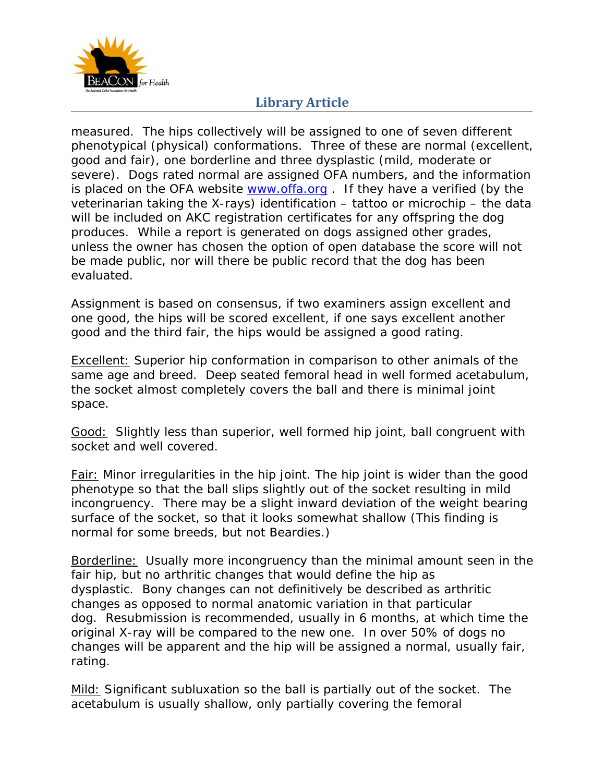

measured. The hips collectively will be assigned to one of seven different phenotypical (physical) conformations. Three of these are normal (excellent, good and fair), one borderline and three dysplastic (mild, moderate or severe). Dogs rated normal are assigned OFA numbers, and the information is placed on the OFA website www.offa.org. If they have a verified (by the veterinarian taking the X-rays) identification – tattoo or microchip – the data will be included on AKC registration certificates for any offspring the dog produces. While a report is generated on dogs assigned other grades, unless the owner has chosen the option of open database the score will not be made public, nor will there be public record that the dog has been evaluated.

Assignment is based on consensus, if two examiners assign excellent and one good, the hips will be scored excellent, if one says excellent another good and the third fair, the hips would be assigned a good rating.

Excellent: Superior hip conformation in comparison to other animals of the same age and breed. Deep seated femoral head in well formed acetabulum, the socket almost completely covers the ball and there is minimal joint space.

Good: Slightly less than superior, well formed hip joint, ball congruent with socket and well covered.

Fair: Minor irregularities in the hip joint. The hip joint is wider than the good phenotype so that the ball slips slightly out of the socket resulting in mild incongruency. There may be a slight inward deviation of the weight bearing surface of the socket, so that it looks somewhat shallow (This finding is normal for some breeds, but not Beardies.)

Borderline: Usually more incongruency than the minimal amount seen in the fair hip, but no arthritic changes that would define the hip as dysplastic. Bony changes can not definitively be described as arthritic changes as opposed to normal anatomic variation in that particular dog. Resubmission is recommended, usually in 6 months, at which time the original X-ray will be compared to the new one. In over 50% of dogs no changes will be apparent and the hip will be assigned a normal, usually fair, rating.

Mild: Significant subluxation so the ball is partially out of the socket. The acetabulum is usually shallow, only partially covering the femoral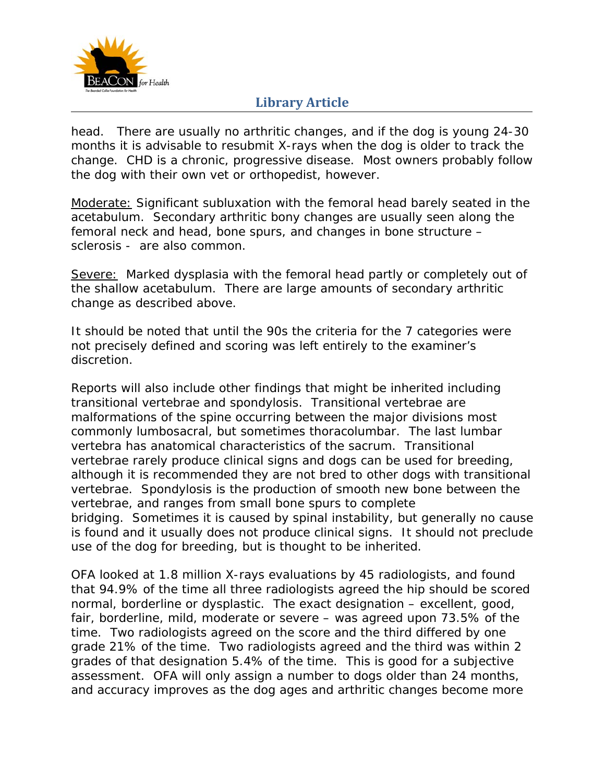

head. There are usually no arthritic changes, and if the dog is young 24-30 months it is advisable to resubmit X-rays when the dog is older to track the change. CHD is a chronic, progressive disease. Most owners probably follow the dog with their own vet or orthopedist, however.

Moderate: Significant subluxation with the femoral head barely seated in the acetabulum. Secondary arthritic bony changes are usually seen along the femoral neck and head, bone spurs, and changes in bone structure – sclerosis - are also common.

Severe: Marked dysplasia with the femoral head partly or completely out of the shallow acetabulum. There are large amounts of secondary arthritic change as described above.

It should be noted that until the 90s the criteria for the 7 categories were not precisely defined and scoring was left entirely to the examiner's discretion.

Reports will also include other findings that might be inherited including transitional vertebrae and spondylosis. Transitional vertebrae are malformations of the spine occurring between the major divisions most commonly lumbosacral, but sometimes thoracolumbar. The last lumbar vertebra has anatomical characteristics of the sacrum. Transitional vertebrae rarely produce clinical signs and dogs can be used for breeding, although it is recommended they are not bred to other dogs with transitional vertebrae. Spondylosis is the production of smooth new bone between the vertebrae, and ranges from small bone spurs to complete bridging. Sometimes it is caused by spinal instability, but generally no cause is found and it usually does not produce clinical signs. It should not preclude use of the dog for breeding, but is thought to be inherited.

OFA looked at 1.8 million X-rays evaluations by 45 radiologists, and found that 94.9% of the time all three radiologists agreed the hip should be scored normal, borderline or dysplastic. The exact designation – excellent, good, fair, borderline, mild, moderate or severe – was agreed upon 73.5% of the time. Two radiologists agreed on the score and the third differed by one grade 21% of the time. Two radiologists agreed and the third was within 2 grades of that designation 5.4% of the time. This is good for a subjective assessment. OFA will only assign a number to dogs older than 24 months, and accuracy improves as the dog ages and arthritic changes become more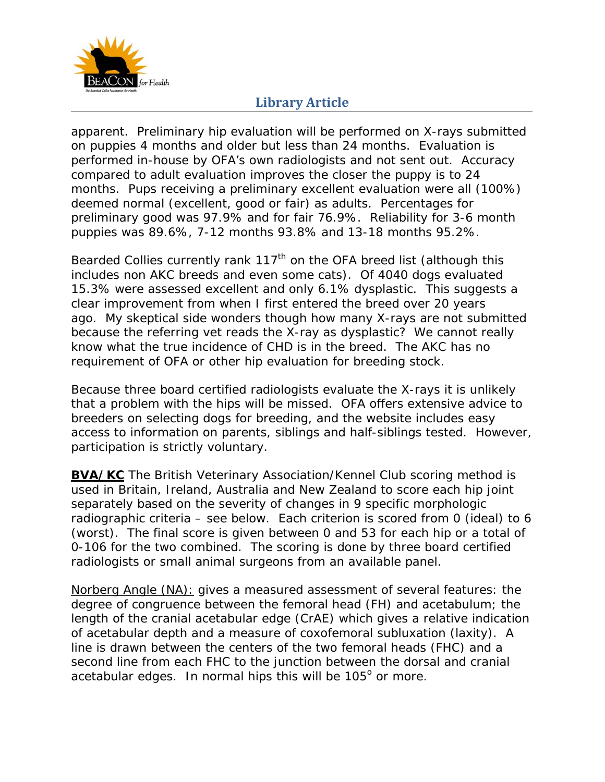

apparent. Preliminary hip evaluation will be performed on X-rays submitted on puppies 4 months and older but less than 24 months. Evaluation is performed in-house by OFA's own radiologists and not sent out. Accuracy compared to adult evaluation improves the closer the puppy is to 24 months. Pups receiving a preliminary excellent evaluation were all (100%) deemed normal (excellent, good or fair) as adults. Percentages for preliminary good was 97.9% and for fair 76.9%. Reliability for 3-6 month puppies was 89.6%, 7-12 months 93.8% and 13-18 months 95.2%.

Bearded Collies currently rank  $117<sup>th</sup>$  on the OFA breed list (although this includes non AKC breeds and even some cats). Of 4040 dogs evaluated 15.3% were assessed excellent and only 6.1% dysplastic. This suggests a clear improvement from when I first entered the breed over 20 years ago. My skeptical side wonders though how many X-rays are not submitted because the referring vet reads the X-ray as dysplastic? We cannot really know what the true incidence of CHD is in the breed. The AKC has no requirement of OFA or other hip evaluation for breeding stock.

Because three board certified radiologists evaluate the X-rays it is unlikely that a problem with the hips will be missed. OFA offers extensive advice to breeders on selecting dogs for breeding, and the website includes easy access to information on parents, siblings and half-siblings tested. However, participation is strictly voluntary.

**BVA/KC** The British Veterinary Association/Kennel Club scoring method is used in Britain, Ireland, Australia and New Zealand to score each hip joint separately based on the severity of changes in 9 specific morphologic radiographic criteria – see below. Each criterion is scored from 0 (ideal) to 6 (worst). The final score is given between 0 and 53 for each hip or a total of 0-106 for the two combined. The scoring is done by three board certified radiologists or small animal surgeons from an available panel.

Norberg Angle (NA): gives a measured assessment of several features: the degree of congruence between the femoral head (FH) and acetabulum; the length of the cranial acetabular edge (CrAE) which gives a relative indication of acetabular depth and a measure of coxofemoral subluxation (laxity). A line is drawn between the centers of the two femoral heads (FHC) and a second line from each FHC to the junction between the dorsal and cranial acetabular edges. In normal hips this will be  $105^{\circ}$  or more.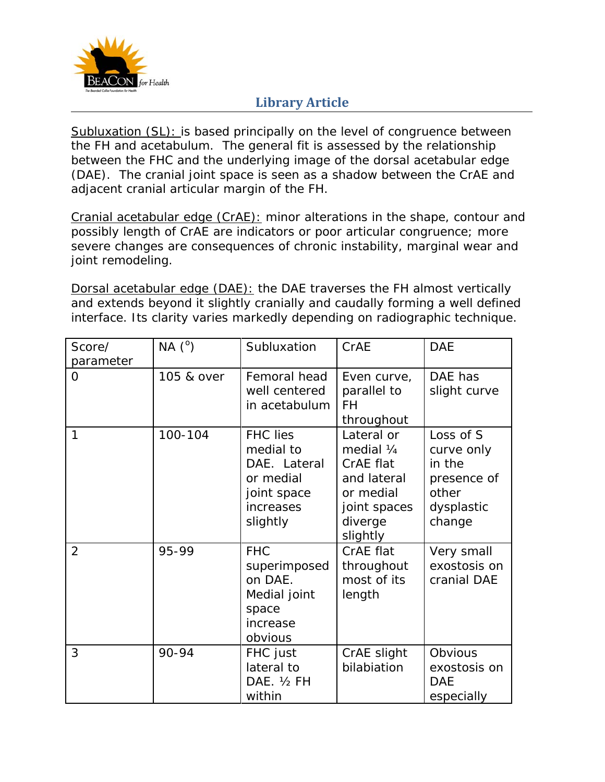

Subluxation (SL): is based principally on the level of congruence between the FH and acetabulum. The general fit is assessed by the relationship between the FHC and the underlying image of the dorsal acetabular edge (DAE). The cranial joint space is seen as a shadow between the CrAE and adjacent cranial articular margin of the FH.

Cranial acetabular edge (CrAE): minor alterations in the shape, contour and possibly length of CrAE are indicators or poor articular congruence; more severe changes are consequences of chronic instability, marginal wear and joint remodeling.

Dorsal acetabular edge (DAE): the DAE traverses the FH almost vertically and extends beyond it slightly cranially and caudally forming a well defined interface. Its clarity varies markedly depending on radiographic technique.

| Score/<br>parameter | $NA(^{o})$ | Subluxation                                                                                       | CrAE                                                                                                     | <b>DAE</b>                                                                        |
|---------------------|------------|---------------------------------------------------------------------------------------------------|----------------------------------------------------------------------------------------------------------|-----------------------------------------------------------------------------------|
| $\Omega$            | 105 & over | Femoral head<br>well centered<br>in acetabulum                                                    | Even curve,<br>parallel to<br>FH<br>throughout                                                           | DAE has<br>slight curve                                                           |
| 1                   | 100-104    | <b>FHC</b> lies<br>medial to<br>DAE. Lateral<br>or medial<br>joint space<br>increases<br>slightly | Lateral or<br>medial 1/4<br>CrAE flat<br>and lateral<br>or medial<br>joint spaces<br>diverge<br>slightly | Loss of S<br>curve only<br>in the<br>presence of<br>other<br>dysplastic<br>change |
| $\overline{2}$      | 95-99      | <b>FHC</b><br>superimposed<br>on DAE.<br>Medial joint<br>space<br>increase<br>obvious             | CrAE flat<br>throughout<br>most of its<br>length                                                         | Very small<br>exostosis on<br>cranial DAE                                         |
| 3                   | 90-94      | FHC just<br>lateral to<br>DAE. 1/2 FH<br>within                                                   | CrAE slight<br>bilabiation                                                                               | Obvious<br>exostosis on<br><b>DAE</b><br>especially                               |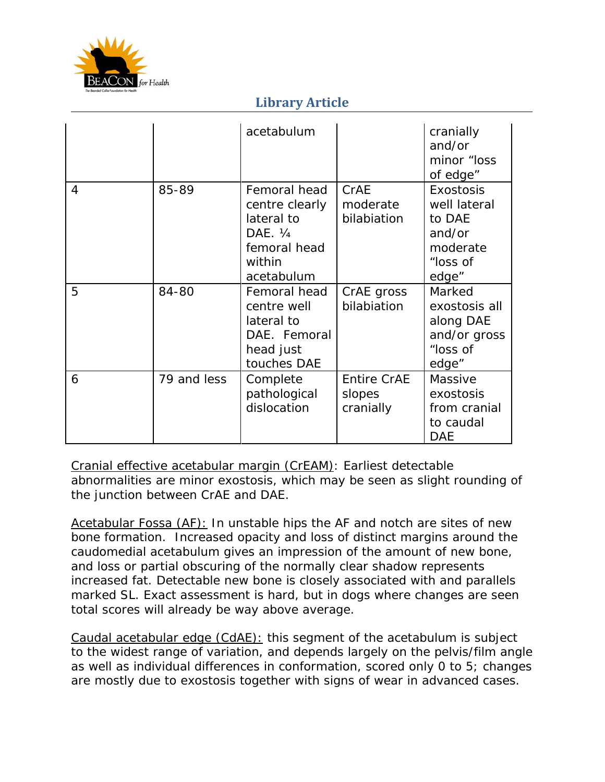

|                |             | acetabulum                                                                                       |                                           | cranially<br>and/or<br>minor "loss<br>of edge"                                        |
|----------------|-------------|--------------------------------------------------------------------------------------------------|-------------------------------------------|---------------------------------------------------------------------------------------|
| $\overline{4}$ | 85-89       | Femoral head<br>centre clearly<br>lateral to<br>DAE. 1/4<br>femoral head<br>within<br>acetabulum | CrAE<br>moderate<br>bilabiation           | <b>Exostosis</b><br>well lateral<br>to DAE<br>and/or<br>moderate<br>"loss of<br>edge" |
| 5              | 84-80       | Femoral head<br>centre well<br>lateral to<br>DAE. Femoral<br>head just<br>touches DAE            | CrAE gross<br>bilabiation                 | Marked<br>exostosis all<br>along DAE<br>and/or gross<br>"loss of<br>edge"             |
| 6              | 79 and less | Complete<br>pathological<br>dislocation                                                          | <b>Entire CrAE</b><br>slopes<br>cranially | Massive<br>exostosis<br>from cranial<br>to caudal<br><b>DAE</b>                       |

Cranial effective acetabular margin (CrEAM): Earliest detectable abnormalities are minor exostosis, which may be seen as slight rounding of the junction between CrAE and DAE.

Acetabular Fossa (AF): In unstable hips the AF and notch are sites of new bone formation. Increased opacity and loss of distinct margins around the caudomedial acetabulum gives an impression of the amount of new bone, and loss or partial obscuring of the normally clear shadow represents increased fat. Detectable new bone is closely associated with and parallels marked SL. Exact assessment is hard, but in dogs where changes are seen total scores will already be way above average.

Caudal acetabular edge (CdAE): this segment of the acetabulum is subject to the widest range of variation, and depends largely on the pelvis/film angle as well as individual differences in conformation, scored only 0 to 5; changes are mostly due to exostosis together with signs of wear in advanced cases.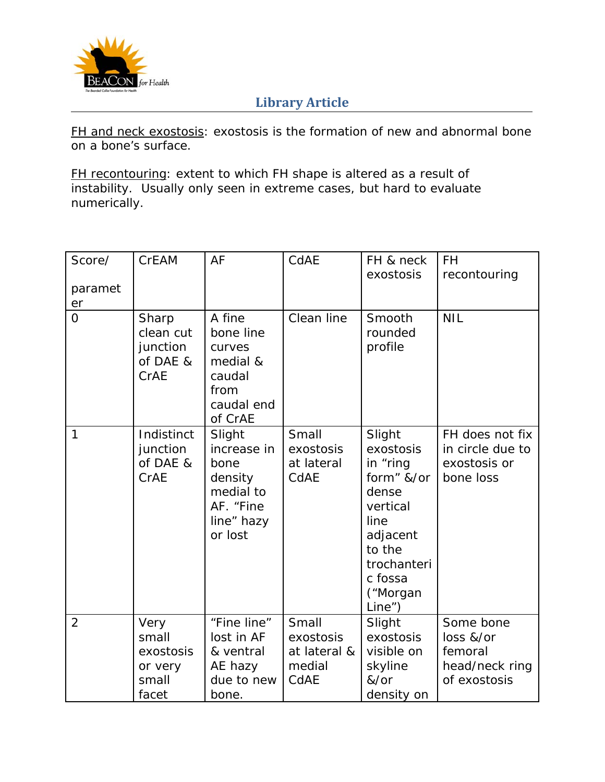

FH and neck exostosis: exostosis is the formation of new and abnormal bone on a bone's surface.

FH recontouring: extent to which FH shape is altered as a result of instability. Usually only seen in extreme cases, but hard to evaluate numerically.

| Score/        | <b>CrEAM</b>                                            | AF                                                                                          | CdAE                                                 | FH & neck<br>exostosis                                                                                                                           | FH                                                                  |
|---------------|---------------------------------------------------------|---------------------------------------------------------------------------------------------|------------------------------------------------------|--------------------------------------------------------------------------------------------------------------------------------------------------|---------------------------------------------------------------------|
| paramet<br>er |                                                         |                                                                                             |                                                      |                                                                                                                                                  | recontouring                                                        |
| $\Omega$      | Sharp<br>clean cut<br>junction<br>of DAE &<br>CrAE      | A fine<br>bone line<br>curves<br>medial &<br>caudal<br>from<br>caudal end<br>of CrAE        | Clean line                                           | Smooth<br>rounded<br>profile                                                                                                                     | <b>NIL</b>                                                          |
| $\mathbf{1}$  | Indistinct<br>junction<br>of DAE &<br>CrAE              | Slight<br>increase in<br>bone<br>density<br>medial to<br>AF. "Fine<br>line" hazy<br>or lost | Small<br>exostosis<br>at lateral<br>CdAE             | Slight<br>exostosis<br>in "ring<br>form" &/or<br>dense<br>vertical<br>line<br>adjacent<br>to the<br>trochanteri<br>c fossa<br>("Morgan<br>Line") | FH does not fix<br>in circle due to<br>exostosis or<br>bone loss    |
| 2             | Very<br>small<br>exostosis<br>or very<br>small<br>facet | "Fine line"<br>lost in AF<br>& ventral<br>AE hazy<br>due to new<br>bone.                    | Small<br>exostosis<br>at lateral &<br>medial<br>CdAE | Slight<br>exostosis<br>visible on<br>skyline<br>&/or<br>density on                                                                               | Some bone<br>loss &/or<br>femoral<br>head/neck ring<br>of exostosis |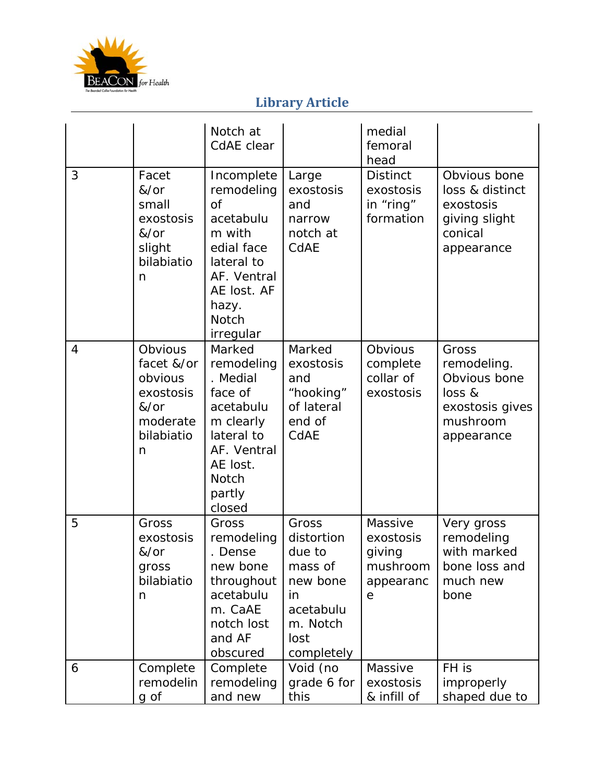

|                |                                                                                      | Notch at<br>CdAE clear                                                                                                                                             |                                                                                                           | medial<br>femoral<br>head                                    |                                                                                             |
|----------------|--------------------------------------------------------------------------------------|--------------------------------------------------------------------------------------------------------------------------------------------------------------------|-----------------------------------------------------------------------------------------------------------|--------------------------------------------------------------|---------------------------------------------------------------------------------------------|
| 3              | Facet<br>&/or<br>small<br>exostosis<br>&/or<br>slight<br>bilabiatio<br>n             | Incomplete<br>remodeling<br>$\overline{of}$<br>acetabulu<br>m with<br>edial face<br>lateral to<br>AF. Ventral<br>AE lost. AF<br>hazy.<br><b>Notch</b><br>irregular | Large<br>exostosis<br>and<br>narrow<br>notch at<br>CdAE                                                   | <b>Distinct</b><br>exostosis<br>in "ring"<br>formation       | Obvious bone<br>loss & distinct<br>exostosis<br>giving slight<br>conical<br>appearance      |
| $\overline{4}$ | Obvious<br>facet &/or<br>obvious<br>exostosis<br>&/or<br>moderate<br>bilabiatio<br>n | Marked<br>remodeling<br>. Medial<br>face of<br>acetabulu<br>m clearly<br>lateral to<br>AF. Ventral<br>AE lost.<br><b>Notch</b><br>partly<br>closed                 | Marked<br>exostosis<br>and<br>"hooking"<br>of lateral<br>end of<br>CdAE                                   | Obvious<br>complete<br>collar of<br>exostosis                | Gross<br>remodeling.<br>Obvious bone<br>loss &<br>exostosis gives<br>mushroom<br>appearance |
| 5              | Gross<br>exostosis<br>$&/$ or<br>gross<br>bilabiatio<br>n                            | Gross<br>remodeling<br>. Dense<br>new bone<br>throughout<br>acetabulu<br>m. CaAE<br>notch lost<br>and AF<br>obscured                                               | Gross<br>distortion<br>due to<br>mass of<br>new bone<br>in<br>acetabulu<br>m. Notch<br>lost<br>completely | Massive<br>exostosis<br>giving<br>mushroom<br>appearanc<br>е | Very gross<br>remodeling<br>with marked<br>bone loss and<br>much new<br>bone                |
| 6              | Complete<br>remodelin<br>g of                                                        | Complete<br>remodeling<br>and new                                                                                                                                  | Void (no<br>grade 6 for<br>this                                                                           | Massive<br>exostosis<br>& infill of                          | FH is<br>improperly<br>shaped due to                                                        |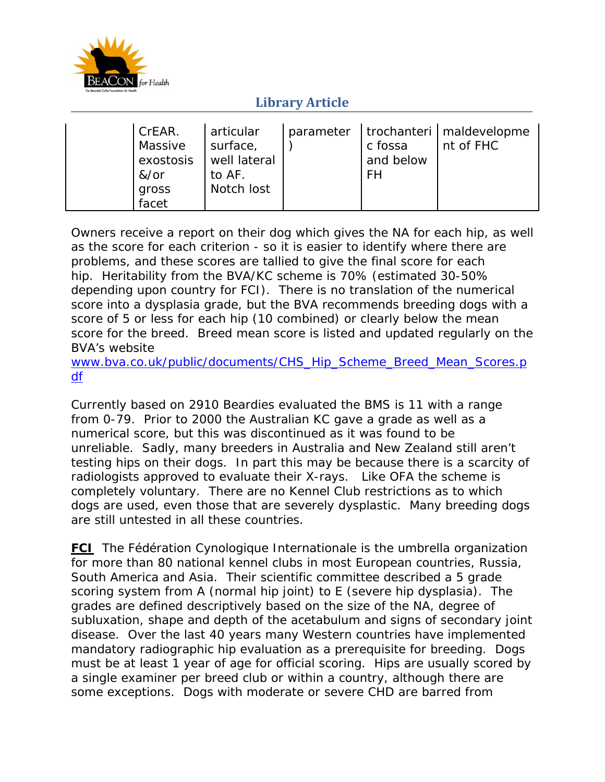

| I CrEAR.<br>Massive<br>exostosis<br>&/or<br>gross<br>facet | articular<br>surface,<br>well lateral<br>to AF.<br>Notch lost |  | c fossa<br>and below<br><b>FH</b> | parameter   trochanteri   maldevelopme<br>I nt of FHC |
|------------------------------------------------------------|---------------------------------------------------------------|--|-----------------------------------|-------------------------------------------------------|
|------------------------------------------------------------|---------------------------------------------------------------|--|-----------------------------------|-------------------------------------------------------|

Owners receive a report on their dog which gives the NA for each hip, as well as the score for each criterion - so it is easier to identify where there are problems, and these scores are tallied to give the final score for each hip. Heritability from the BVA/KC scheme is 70% (estimated 30-50% depending upon country for FCI). There is no translation of the numerical score into a dysplasia grade, but the BVA recommends breeding dogs with a score of 5 or less for each hip (10 combined) or clearly below the mean score for the breed. Breed mean score is listed and updated regularly on the BVA's website

www.bva.co.uk/public/documents/CHS\_Hip\_Scheme\_Breed\_Mean\_Scores.p df

Currently based on 2910 Beardies evaluated the BMS is 11 with a range from 0-79. Prior to 2000 the Australian KC gave a grade as well as a numerical score, but this was discontinued as it was found to be unreliable. Sadly, many breeders in Australia and New Zealand still aren't testing hips on their dogs. In part this may be because there is a scarcity of radiologists approved to evaluate their X-rays. Like OFA the scheme is completely voluntary. There are no Kennel Club restrictions as to which dogs are used, even those that are severely dysplastic. Many breeding dogs are still untested in all these countries.

**FCI** The Fédération Cynologique Internationale is the umbrella organization for more than 80 national kennel clubs in most European countries, Russia, South America and Asia. Their scientific committee described a 5 grade scoring system from A (normal hip joint) to E (severe hip dysplasia). The grades are defined descriptively based on the size of the NA, degree of subluxation, shape and depth of the acetabulum and signs of secondary joint disease. Over the last 40 years many Western countries have implemented mandatory radiographic hip evaluation as a prerequisite for breeding. Dogs must be at least 1 year of age for official scoring. Hips are usually scored by a single examiner per breed club or within a country, although there are some exceptions. Dogs with moderate or severe CHD are barred from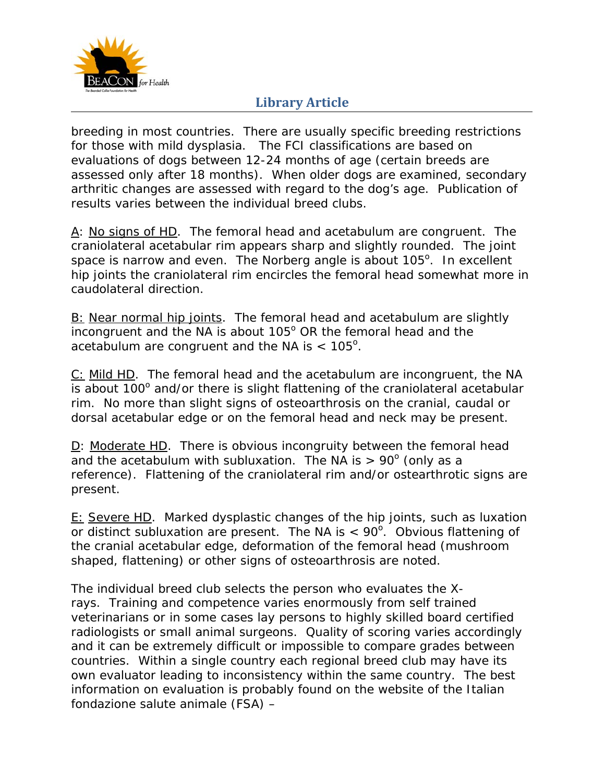

breeding in most countries. There are usually specific breeding restrictions for those with mild dysplasia. The FCI classifications are based on evaluations of dogs between 12-24 months of age (certain breeds are assessed only after 18 months). When older dogs are examined, secondary arthritic changes are assessed with regard to the dog's age. Publication of results varies between the individual breed clubs.

A: No signs of HD. The femoral head and acetabulum are congruent. The craniolateral acetabular rim appears sharp and slightly rounded. The joint space is narrow and even. The Norberg angle is about  $105^\circ$ . In excellent hip joints the craniolateral rim encircles the femoral head somewhat more in caudolateral direction.

B: Near normal hip joints. The femoral head and acetabulum are slightly incongruent and the NA is about  $105^{\circ}$  OR the femoral head and the acetabulum are congruent and the NA is  $< 105^\circ$ .

C: Mild HD. The femoral head and the acetabulum are incongruent, the NA is about  $100^\circ$  and/or there is slight flattening of the craniolateral acetabular rim. No more than slight signs of osteoarthrosis on the cranial, caudal or dorsal acetabular edge or on the femoral head and neck may be present.

D: Moderate HD. There is obvious incongruity between the femoral head and the acetabulum with subluxation. The NA is  $> 90^{\circ}$  (only as a reference). Flattening of the craniolateral rim and/or ostearthrotic signs are present.

E: Severe HD. Marked dysplastic changes of the hip joints, such as luxation or distinct subluxation are present. The NA is  $< 90^\circ$ . Obvious flattening of the cranial acetabular edge, deformation of the femoral head (mushroom shaped, flattening) or other signs of osteoarthrosis are noted.

The individual breed club selects the person who evaluates the Xrays. Training and competence varies enormously from self trained veterinarians or in some cases lay persons to highly skilled board certified radiologists or small animal surgeons. Quality of scoring varies accordingly and it can be extremely difficult or impossible to compare grades between countries. Within a single country each regional breed club may have its own evaluator leading to inconsistency within the same country. The best information on evaluation is probably found on the website of the Italian fondazione salute animale (FSA) –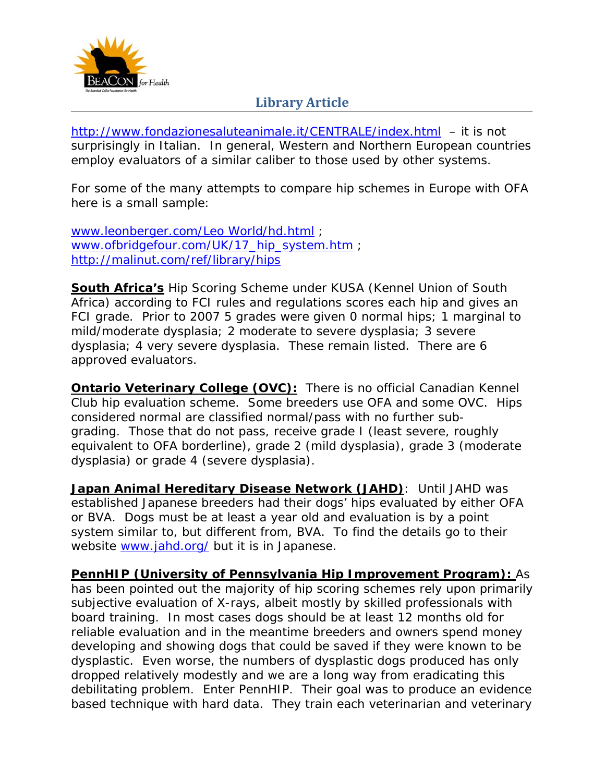

http://www.fondazionesaluteanimale.it/CENTRALE/index.html – it is not surprisingly in Italian. In general, Western and Northern European countries employ evaluators of a similar caliber to those used by other systems.

For some of the many attempts to compare hip schemes in Europe with OFA here is a small sample:

www.leonberger.com/Leo World/hd.html ; www.ofbridgefour.com/UK/17\_hip\_system.htm ; http://malinut.com/ref/library/hips

**South Africa's** Hip Scoring Scheme under KUSA (Kennel Union of South Africa) according to FCI rules and regulations scores each hip and gives an FCI grade. Prior to 2007 5 grades were given 0 normal hips; 1 marginal to mild/moderate dysplasia; 2 moderate to severe dysplasia; 3 severe dysplasia; 4 very severe dysplasia. These remain listed. There are 6 approved evaluators.

**Ontario Veterinary College (OVC):** There is no official Canadian Kennel Club hip evaluation scheme. Some breeders use OFA and some OVC. Hips considered normal are classified normal/pass with no further subgrading. Those that do not pass, receive grade I (least severe, roughly equivalent to OFA borderline), grade 2 (mild dysplasia), grade 3 (moderate dysplasia) or grade 4 (severe dysplasia).

**Japan Animal Hereditary Disease Network (JAHD)**: Until JAHD was established Japanese breeders had their dogs' hips evaluated by either OFA or BVA. Dogs must be at least a year old and evaluation is by a point system similar to, but different from, BVA. To find the details go to their website www.jahd.org/ but it is in Japanese.

**PennHIP (University of Pennsylvania Hip Improvement Program):** As has been pointed out the majority of hip scoring schemes rely upon primarily subjective evaluation of X-rays, albeit mostly by skilled professionals with board training. In most cases dogs should be at least 12 months old for reliable evaluation and in the meantime breeders and owners spend money developing and showing dogs that could be saved if they were known to be dysplastic. Even worse, the numbers of dysplastic dogs produced has only dropped relatively modestly and we are a long way from eradicating this debilitating problem. Enter PennHIP. Their goal was to produce an evidence based technique with hard data. They train each veterinarian and veterinary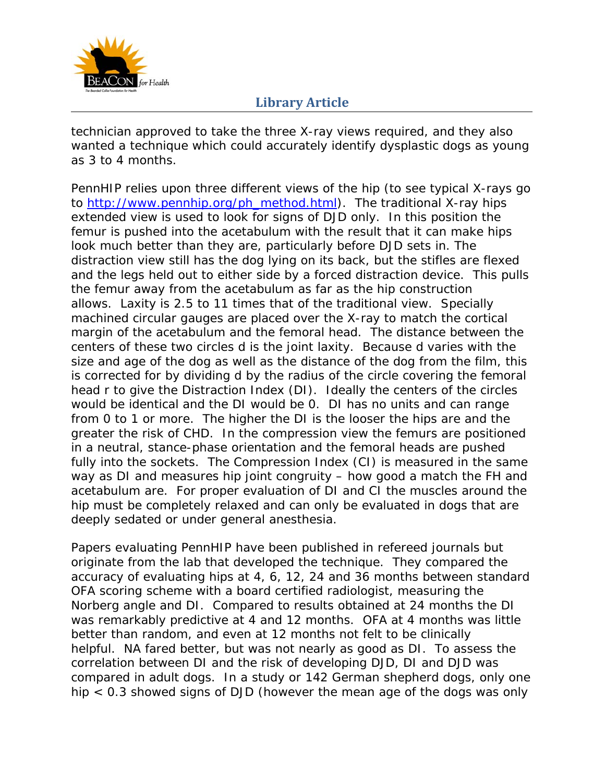

technician approved to take the three X-ray views required, and they also wanted a technique which could accurately identify dysplastic dogs as young as 3 to 4 months.

PennHIP relies upon three different views of the hip (to see typical X-rays go to http://www.pennhip.org/ph\_method.html). The traditional X-ray hips extended view is used to look for signs of DJD only. In this position the femur is pushed into the acetabulum with the result that it can make hips look much better than they are, particularly before DJD sets in. The distraction view still has the dog lying on its back, but the stifles are flexed and the legs held out to either side by a forced distraction device. This pulls the femur away from the acetabulum as far as the hip construction allows. Laxity is 2.5 to 11 times that of the traditional view. Specially machined circular gauges are placed over the X-ray to match the cortical margin of the acetabulum and the femoral head. The distance between the centers of these two circles d is the joint laxity. Because d varies with the size and age of the dog as well as the distance of the dog from the film, this is corrected for by dividing d by the radius of the circle covering the femoral head r to give the Distraction Index (DI). Ideally the centers of the circles would be identical and the DI would be 0. DI has no units and can range from 0 to 1 or more. The higher the DI is the looser the hips are and the greater the risk of CHD. In the compression view the femurs are positioned in a neutral, stance-phase orientation and the femoral heads are pushed fully into the sockets. The Compression Index (CI) is measured in the same way as DI and measures hip joint congruity – how good a match the FH and acetabulum are. For proper evaluation of DI and CI the muscles around the hip must be completely relaxed and can only be evaluated in dogs that are deeply sedated or under general anesthesia.

Papers evaluating PennHIP have been published in refereed journals but originate from the lab that developed the technique. They compared the accuracy of evaluating hips at 4, 6, 12, 24 and 36 months between standard OFA scoring scheme with a board certified radiologist, measuring the Norberg angle and DI. Compared to results obtained at 24 months the DI was remarkably predictive at 4 and 12 months. OFA at 4 months was little better than random, and even at 12 months not felt to be clinically helpful. NA fared better, but was not nearly as good as DI. To assess the correlation between DI and the risk of developing DJD, DI and DJD was compared in adult dogs. In a study or 142 German shepherd dogs, only one hip < 0.3 showed signs of DJD (however the mean age of the dogs was only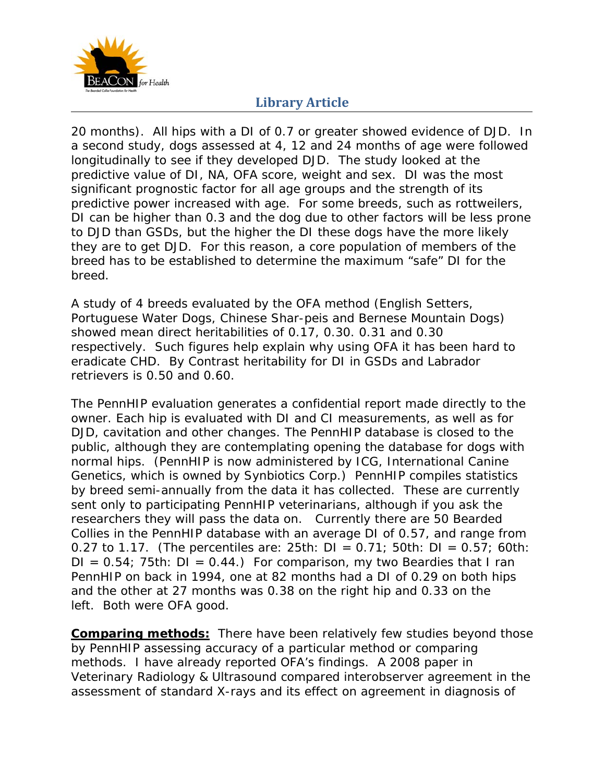

20 months). All hips with a DI of 0.7 or greater showed evidence of DJD. In a second study, dogs assessed at 4, 12 and 24 months of age were followed longitudinally to see if they developed DJD. The study looked at the predictive value of DI, NA, OFA score, weight and sex. DI was the most significant prognostic factor for all age groups and the strength of its predictive power increased with age. For some breeds, such as rottweilers, DI can be higher than 0.3 and the dog due to other factors will be less prone to DJD than GSDs, but the higher the DI these dogs have the more likely they are to get DJD. For this reason, a core population of members of the breed has to be established to determine the maximum "safe" DI for the breed.

A study of 4 breeds evaluated by the OFA method (English Setters, Portuguese Water Dogs, Chinese Shar-peis and Bernese Mountain Dogs) showed mean direct heritabilities of 0.17, 0.30. 0.31 and 0.30 respectively. Such figures help explain why using OFA it has been hard to eradicate CHD. By Contrast heritability for DI in GSDs and Labrador retrievers is 0.50 and 0.60.

The PennHIP evaluation generates a confidential report made directly to the owner. Each hip is evaluated with DI and CI measurements, as well as for DJD, cavitation and other changes. The PennHIP database is closed to the public, although they are contemplating opening the database for dogs with normal hips. (PennHIP is now administered by ICG, International Canine Genetics, which is owned by Synbiotics Corp.) PennHIP compiles statistics by breed semi-annually from the data it has collected. These are currently sent only to participating PennHIP veterinarians, although if you ask the researchers they will pass the data on. Currently there are 50 Bearded Collies in the PennHIP database with an average DI of 0.57, and range from 0.27 to 1.17. (The percentiles are: 25th:  $DI = 0.71$ ; 50th:  $DI = 0.57$ ; 60th:  $DI = 0.54$ ; 75th:  $DI = 0.44$ .) For comparison, my two Beardies that I ran PennHIP on back in 1994, one at 82 months had a DI of 0.29 on both hips and the other at 27 months was 0.38 on the right hip and 0.33 on the left. Both were OFA good.

**Comparing methods:** There have been relatively few studies beyond those by PennHIP assessing accuracy of a particular method or comparing methods. I have already reported OFA's findings. A 2008 paper in Veterinary Radiology & Ultrasound compared interobserver agreement in the assessment of standard X-rays and its effect on agreement in diagnosis of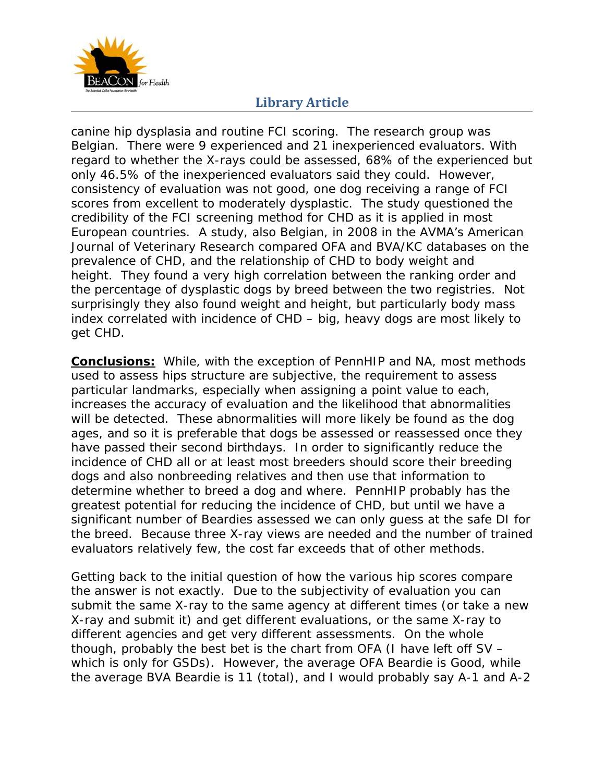

canine hip dysplasia and routine FCI scoring. The research group was Belgian. There were 9 experienced and 21 inexperienced evaluators. With regard to whether the X-rays could be assessed, 68% of the experienced but only 46.5% of the inexperienced evaluators said they could. However, consistency of evaluation was not good, one dog receiving a range of FCI scores from excellent to moderately dysplastic. The study questioned the credibility of the FCI screening method for CHD as it is applied in most European countries. A study, also Belgian, in 2008 in the AVMA's American Journal of Veterinary Research compared OFA and BVA/KC databases on the prevalence of CHD, and the relationship of CHD to body weight and height. They found a very high correlation between the ranking order and the percentage of dysplastic dogs by breed between the two registries. Not surprisingly they also found weight and height, but particularly body mass index correlated with incidence of CHD – big, heavy dogs are most likely to get CHD.

**Conclusions:** While, with the exception of PennHIP and NA, most methods used to assess hips structure are subjective, the requirement to assess particular landmarks, especially when assigning a point value to each, increases the accuracy of evaluation and the likelihood that abnormalities will be detected. These abnormalities will more likely be found as the dog ages, and so it is preferable that dogs be assessed or reassessed once they have passed their second birthdays. In order to significantly reduce the incidence of CHD all or at least most breeders should score their breeding dogs and also nonbreeding relatives and then use that information to determine whether to breed a dog and where. PennHIP probably has the greatest potential for reducing the incidence of CHD, but until we have a significant number of Beardies assessed we can only guess at the safe DI for the breed. Because three X-ray views are needed and the number of trained evaluators relatively few, the cost far exceeds that of other methods.

Getting back to the initial question of how the various hip scores compare the answer is not exactly. Due to the subjectivity of evaluation you can submit the same X-ray to the same agency at different times (or take a new X-ray and submit it) and get different evaluations, or the same X-ray to different agencies and get very different assessments. On the whole though, probably the best bet is the chart from OFA (I have left off SV – which is only for GSDs). However, the average OFA Beardie is Good, while the average BVA Beardie is 11 (total), and I would probably say A-1 and A-2